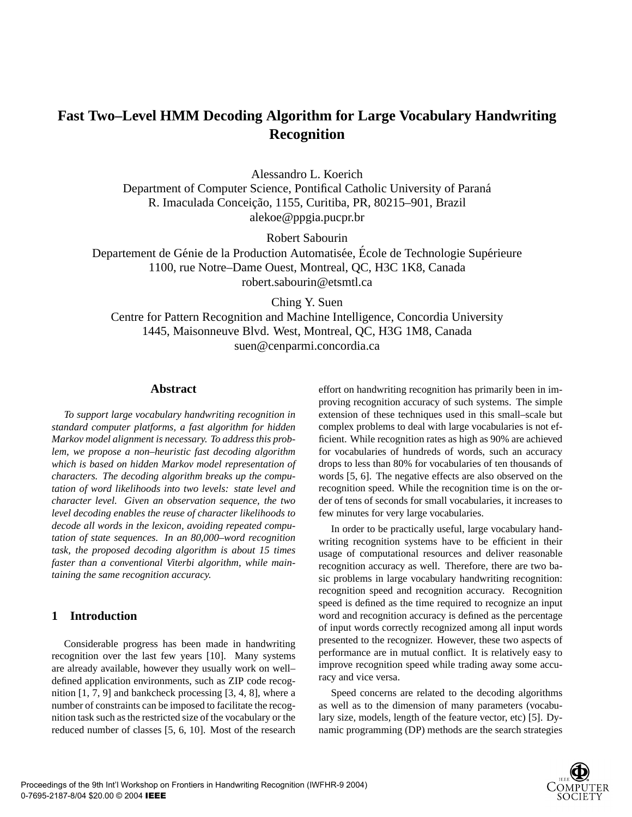# **Fast Two–Level HMM Decoding Algorithm for Large Vocabulary Handwriting Recognition**

Alessandro L. Koerich

Department of Computer Science, Pontifical Catholic University of Parana´ R. Imaculada Conceição, 1155, Curitiba, PR, 80215-901, Brazil alekoe@ppgia.pucpr.br

Robert Sabourin

Departement de Génie de la Production Automatisée, École de Technologie Supérieure 1100, rue Notre–Dame Ouest, Montreal, QC, H3C 1K8, Canada robert.sabourin@etsmtl.ca

Ching Y. Suen

Centre for Pattern Recognition and Machine Intelligence, Concordia University 1445, Maisonneuve Blvd. West, Montreal, QC, H3G 1M8, Canada suen@cenparmi.concordia.ca

## **Abstract**

*To support large vocabulary handwriting recognition in standard computer platforms, a fast algorithm for hidden Markov model alignment is necessary. To address this problem, we propose a non–heuristic fast decoding algorithm which is based on hidden Markov model representation of characters. The decoding algorithm breaks up the computation of word likelihoods into two levels: state level and character level. Given an observation sequence, the two level decoding enables the reuse of character likelihoods to decode all words in the lexicon, avoiding repeated computation of state sequences. In an 80,000–word recognition task, the proposed decoding algorithm is about 15 times faster than a conventional Viterbi algorithm, while maintaining the same recognition accuracy.*

## **1 Introduction**

Considerable progress has been made in handwriting recognition over the last few years [10]. Many systems are already available, however they usually work on well– defined application environments, such as ZIP code recognition [1, 7, 9] and bankcheck processing [3, 4, 8], where a number of constraints can be imposed to facilitate the recognition task such as the restricted size of the vocabulary or the reduced number of classes [5, 6, 10]. Most of the research effort on handwriting recognition has primarily been in improving recognition accuracy of such systems. The simple extension of these techniques used in this small–scale but complex problems to deal with large vocabularies is not efficient. While recognition rates as high as 90% are achieved for vocabularies of hundreds of words, such an accuracy drops to less than 80% for vocabularies of ten thousands of words [5, 6]. The negative effects are also observed on the recognition speed. While the recognition time is on the order of tens of seconds for small vocabularies, it increases to few minutes for very large vocabularies.

In order to be practically useful, large vocabulary handwriting recognition systems have to be efficient in their usage of computational resources and deliver reasonable recognition accuracy as well. Therefore, there are two basic problems in large vocabulary handwriting recognition: recognition speed and recognition accuracy. Recognition speed is defined as the time required to recognize an input word and recognition accuracy is defined as the percentage of input words correctly recognized among all input words presented to the recognizer. However, these two aspects of performance are in mutual conflict. It is relatively easy to improve recognition speed while trading away some accuracy and vice versa.

Speed concerns are related to the decoding algorithms as well as to the dimension of many parameters (vocabulary size, models, length of the feature vector, etc) [5]. Dynamic programming (DP) methods are the search strategies

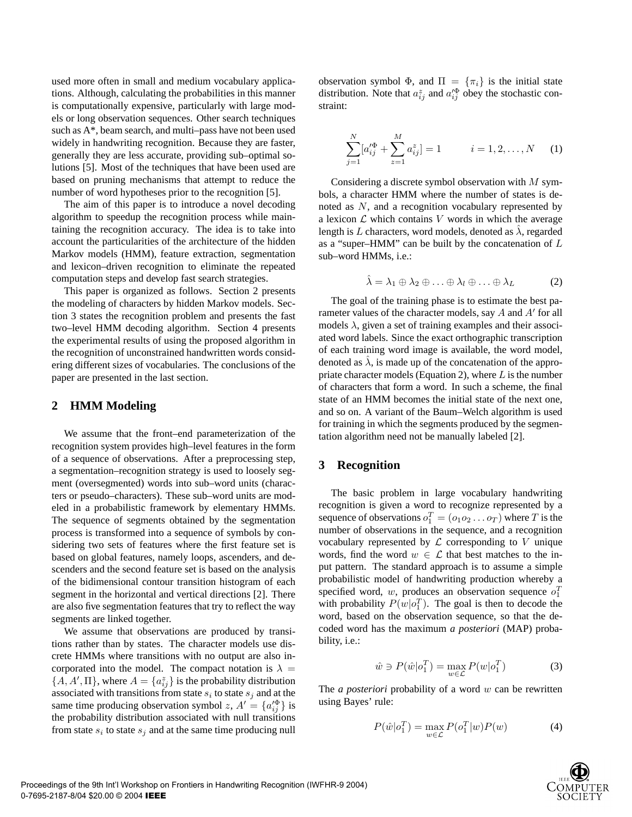used more often in small and medium vocabulary applications. Although, calculating the probabilities in this manner is computationally expensive, particularly with large models or long observation sequences. Other search techniques such as A\*, beam search, and multi–pass have not been used widely in handwriting recognition. Because they are faster, generally they are less accurate, providing sub–optimal solutions [5]. Most of the techniques that have been used are based on pruning mechanisms that attempt to reduce the number of word hypotheses prior to the recognition [5].

The aim of this paper is to introduce a novel decoding algorithm to speedup the recognition process while maintaining the recognition accuracy. The idea is to take into account the particularities of the architecture of the hidden Markov models (HMM), feature extraction, segmentation and lexicon–driven recognition to eliminate the repeated computation steps and develop fast search strategies.

This paper is organized as follows. Section 2 presents the modeling of characters by hidden Markov models. Section 3 states the recognition problem and presents the fast two–level HMM decoding algorithm. Section 4 presents the experimental results of using the proposed algorithm in the recognition of unconstrained handwritten words considering different sizes of vocabularies. The conclusions of the paper are presented in the last section.

## **2 HMM Modeling**

We assume that the front–end parameterization of the recognition system provides high–level features in the form of a sequence of observations. After a preprocessing step, a segmentation–recognition strategy is used to loosely segment (oversegmented) words into sub–word units (characters or pseudo–characters). These sub–word units are modeled in a probabilistic framework by elementary HMMs. The sequence of segments obtained by the segmentation process is transformed into a sequence of symbols by considering two sets of features where the first feature set is based on global features, namely loops, ascenders, and descenders and the second feature set is based on the analysis of the bidimensional contour transition histogram of each segment in the horizontal and vertical directions [2]. There are also five segmentation features that try to reflect the way segments are linked together.

We assume that observations are produced by transitions rather than by states. The character models use discrete HMMs where transitions with no output are also incorporated into the model. The compact notation is  $\lambda =$  $\{A, A', \Pi\}$ , where  $A = \{a_{ij}^z\}$  is the probability distribution associated with transitions from state  $s_i$  to state  $s_j$  and at the same time producing observation symbol z,  $A' = \{a_{ij}^{q\Phi}\}\$ is the probability distribution associated with null transitions from state  $s_i$  to state  $s_j$  and at the same time producing null observation symbol  $\Phi$ , and  $\Pi = {\pi_i}$  is the initial state distribution. Note that  $a_{ij}^z$  and  $a_{ij}^{\prime \Phi}$  obey the stochastic constraint:

$$
\sum_{j=1}^{N} [a_{ij}^{\prime \Phi} + \sum_{z=1}^{M} a_{ij}^{z}] = 1 \qquad i = 1, 2, ..., N \qquad (1)
$$

Considering a discrete symbol observation with M symbols, a character HMM where the number of states is denoted as N, and a recognition vocabulary represented by a lexicon  $\mathcal L$  which contains  $V$  words in which the average length is L characters, word models, denoted as  $\lambda$ , regarded as a "super–HMM" can be built by the concatenation of L sub–word HMMs, i.e.:

$$
\hat{\lambda} = \lambda_1 \oplus \lambda_2 \oplus \ldots \oplus \lambda_l \oplus \ldots \oplus \lambda_L \tag{2}
$$

The goal of the training phase is to estimate the best parameter values of the character models, say  $A$  and  $A'$  for all models  $\lambda$ , given a set of training examples and their associated word labels. Since the exact orthographic transcription of each training word image is available, the word model, denoted as  $\lambda$ , is made up of the concatenation of the appropriate character models (Equation 2), where  $L$  is the number of characters that form a word. In such a scheme, the final state of an HMM becomes the initial state of the next one, and so on. A variant of the Baum–Welch algorithm is used for training in which the segments produced by the segmentation algorithm need not be manually labeled [2].

## **3 Recognition**

The basic problem in large vocabulary handwriting recognition is given a word to recognize represented by a sequence of observations  $o_1^T = (o_1 o_2 \dots o_T)$  where T is the number of observations in the sequence, and a recognition vocabulary represented by  $\mathcal L$  corresponding to V unique words, find the word  $w \in \mathcal{L}$  that best matches to the input pattern. The standard approach is to assume a simple probabilistic model of handwriting production whereby a specified word, w, produces an observation sequence  $o_1^T$ with probability  $P(w|o_1^T)$ . The goal is then to decode the word, based on the observation sequence, so that the decoded word has the maximum *a posteriori* (MAP) probability, i.e.:

$$
\hat{w} \ni P(\hat{w} | o_1^T) = \max_{w \in \mathcal{L}} P(w | o_1^T)
$$
 (3)

The *a posteriori* probability of a word w can be rewritten using Bayes' rule:

$$
P(\hat{w}|\mathbf{o}_1^T) = \max_{w \in \mathcal{L}} P(\mathbf{o}_1^T|w)P(w) \tag{4}
$$

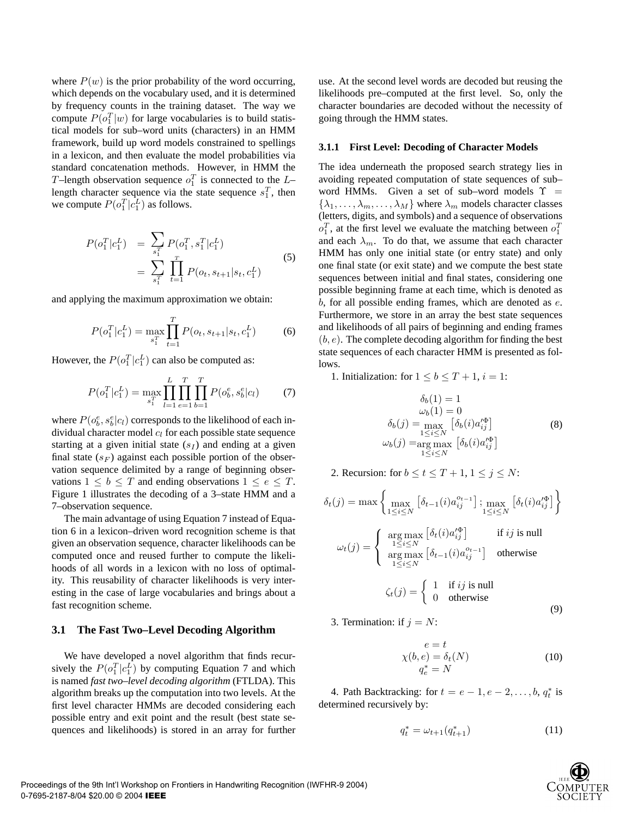where  $P(w)$  is the prior probability of the word occurring, which depends on the vocabulary used, and it is determined by frequency counts in the training dataset. The way we compute  $P(o_1^T|w)$  for large vocabularies is to build statistical models for sub–word units (characters) in an HMM framework, build up word models constrained to spellings in a lexicon, and then evaluate the model probabilities via standard concatenation methods. However, in HMM the T-length observation sequence  $o_1^T$  is connected to the Llength character sequence via the state sequence  $s_1^T$ , then we compute  $P(o_1^T|c_1^L)$  as follows.

$$
P(o_1^T|c_1^L) = \sum_{s_1^T} P(o_1^T, s_1^T|c_1^L)
$$
  
= 
$$
\sum_{s_1^T} \prod_{t=1}^T P(o_t, s_{t+1}|s_t, c_1^L)
$$
 (5)

and applying the maximum approximation we obtain:

$$
P(o_1^T|c_1^L) = \max_{s_1^T} \prod_{t=1}^T P(o_t, s_{t+1}|s_t, c_1^L)
$$
 (6)

However, the  $P(o_1^T|c_1^L)$  can also be computed as:

$$
P(o_1^T|c_1^L) = \max_{s_1^T} \prod_{l=1}^L \prod_{e=1}^T \prod_{b=1}^T P(o_b^e, s_b^e|c_l)
$$
(7)

where  $P(o_b^e, s_b^e|c_l)$  corresponds to the likelihood of each individual character model  $c_l$  for each possible state sequence starting at a given initial state  $(s<sub>I</sub>)$  and ending at a given final state  $(s_F)$  against each possible portion of the observation sequence delimited by a range of beginning observations  $1 \leq b \leq T$  and ending observations  $1 \leq e \leq T$ . Figure 1 illustrates the decoding of a 3–state HMM and a 7–observation sequence.

The main advantage of using Equation 7 instead of Equation 6 in a lexicon–driven word recognition scheme is that given an observation sequence, character likelihoods can be computed once and reused further to compute the likelihoods of all words in a lexicon with no loss of optimality. This reusability of character likelihoods is very interesting in the case of large vocabularies and brings about a fast recognition scheme.

#### **3.1 The Fast Two–Level Decoding Algorithm**

We have developed a novel algorithm that finds recursively the  $P(o_1^T|c_1^L)$  by computing Equation 7 and which is named *fast two–level decoding algorithm* (FTLDA). This algorithm breaks up the computation into two levels. At the first level character HMMs are decoded considering each possible entry and exit point and the result (best state sequences and likelihoods) is stored in an array for further use. At the second level words are decoded but reusing the likelihoods pre–computed at the first level. So, only the character boundaries are decoded without the necessity of going through the HMM states.

#### **3.1.1 First Level: Decoding of Character Models**

The idea underneath the proposed search strategy lies in avoiding repeated computation of state sequences of sub– word HMMs. Given a set of sub–word models  $\Upsilon$  =  $\{\lambda_1, \ldots, \lambda_m, \ldots, \lambda_M\}$  where  $\lambda_m$  models character classes (letters, digits, and symbols) and a sequence of observations  $o_1^T$ , at the first level we evaluate the matching between  $o_1^T$ and each  $\lambda_m$ . To do that, we assume that each character HMM has only one initial state (or entry state) and only one final state (or exit state) and we compute the best state sequences between initial and final states, considering one possible beginning frame at each time, which is denoted as  $b$ , for all possible ending frames, which are denoted as  $e$ . Furthermore, we store in an array the best state sequences and likelihoods of all pairs of beginning and ending frames  $(b, e)$ . The complete decoding algorithm for finding the best state sequences of each character HMM is presented as follows.

1. Initialization: for  $1 \leq b \leq T+1$ ,  $i = 1$ :

$$
\delta_b(1) = 1
$$
  
\n
$$
\omega_b(1) = 0
$$
  
\n
$$
\delta_b(j) = \max_{\substack{1 \le i \le N \\ 1 \le i \le N}} \left[ \delta_b(i) a_{ij}^{\prime \Phi} \right]
$$
  
\n
$$
\omega_b(j) = \arg \max_{1 \le i \le N} \left[ \delta_b(i) a_{ij}^{\prime \Phi} \right]
$$
\n(8)

2. Recursion: for  $b \le t \le T+1, 1 \le j \le N$ :

$$
\delta_t(j) = \max \left\{ \max_{1 \le i \le N} \left[ \delta_{t-1}(i) a_{ij}^{o_{t-1}} \right]; \max_{1 \le i \le N} \left[ \delta_t(i) a_{ij}^{\prime \Phi} \right] \right\}
$$

$$
\omega_t(j) = \begin{cases} \arg \max_{1 \le i \le N} \left[ \delta_t(i) a_{ij}^{\prime \Phi} \right] & \text{if } ij \text{ is null} \\ \arg \max_{1 \le i \le N} \left[ \delta_{t-1}(i) a_{ij}^{o_{t-1}} \right] & \text{otherwise} \end{cases}
$$

$$
\zeta_t(j) = \begin{cases} 1 & \text{if } ij \text{ is null} \\ 0 & \text{otherwise} \end{cases}
$$
(9)

3. Termination: if  $j = N$ :

$$
e = t
$$
  
\n
$$
\chi(b, e) = \delta_t(N)
$$
  
\n
$$
q_e^* = N
$$
\n(10)

4. Path Backtracking: for  $t = e - 1, e - 2, \ldots, b, q_t^*$  is determined recursively by:

$$
q_t^* = \omega_{t+1}(q_{t+1}^*)
$$
\n(11)

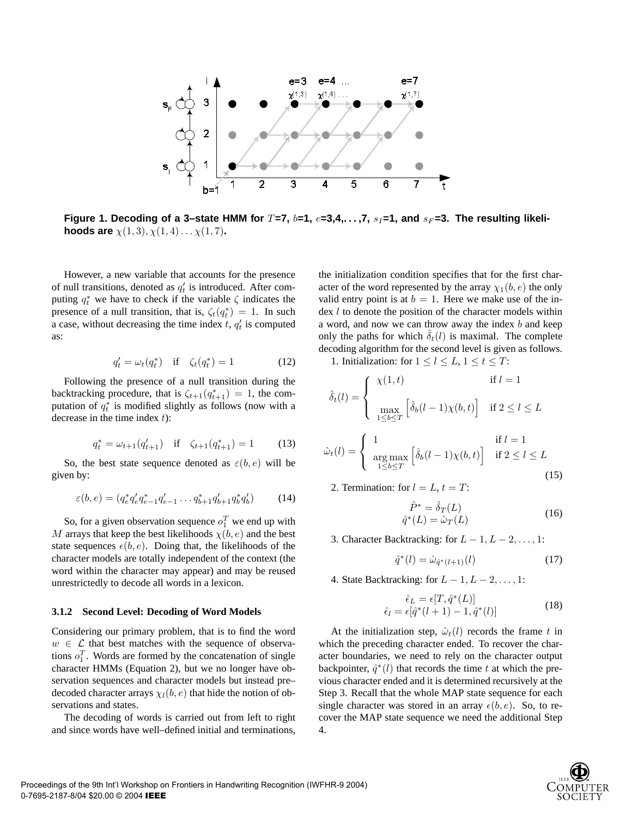

Figure 1. Decoding of a 3-state HMM for  $T=7$ ,  $b=1$ ,  $e=3,4,\ldots,7$ ,  $s_I=1$ , and  $s_F=3$ . The resulting likeli**hoods are**  $\chi(1,3), \chi(1,4) \ldots \chi(1,7)$ .

However, a new variable that accounts for the presence of null transitions, denoted as  $q_t$  is introduced. After computing  $q_t^*$  we have to check if the variable  $\zeta$  indicates the presence of a null transition, that is,  $\zeta_t(q_t^*) = 1$ . In such a case, without decreasing the time index  $t$ ,  $q'_t$  is computed as:

$$
q_t' = \omega_t(q_t^*) \quad \text{if} \quad \zeta_t(q_t^*) = 1 \tag{12}
$$

Following the presence of a null transition during the backtracking procedure, that is  $\zeta_{t+1}(q_{t+1}^*) = 1$ , the computation of  $q_t^*$  is modified slightly as follows (now with a decrease in the time index  $t$ :

$$
q_t^* = \omega_{t+1}(q_{t+1}') \quad \text{if} \quad \zeta_{t+1}(q_{t+1}^*) = 1 \tag{13}
$$

So, the best state sequence denoted as  $\varepsilon(b, e)$  will be given by:

$$
\varepsilon(b, e) = (q_e^* q_e' q_{e-1}^* q_{e-1}' \dots q_{b+1}^* q_{b+1}' q_b^* q_b')
$$
(14)

So, for a given observation sequence  $o_1^T$  we end up with M arrays that keep the best likelihoods  $\chi(b, e)$  and the best state sequences  $\epsilon(b, e)$ . Doing that, the likelihoods of the character models are totally independent of the context (the word within the character may appear) and may be reused unrestrictedly to decode all words in a lexicon.

#### **3.1.2 Second Level: Decoding of Word Models**

Considering our primary problem, that is to find the word  $w \in \mathcal{L}$  that best matches with the sequence of observations  $o_1^T$ . Words are formed by the concatenation of single character HMMs (Equation 2), but we no longer have observation sequences and character models but instead pre– decoded character arrays  $\chi_l(b, e)$  that hide the notion of observations and states.

The decoding of words is carried out from left to right and since words have well–defined initial and terminations,

the initialization condition specifies that for the first character of the word represented by the array  $\chi_1(b, e)$  the only valid entry point is at  $b = 1$ . Here we make use of the in- $\text{dex } l$  to denote the position of the character models within a word, and now we can throw away the index  $b$  and keep only the paths for which  $\delta_t(l)$  is maximal. The complete decoding algorithm for the second level is given as follows.

1. Initialization: for  $1 \leq l \leq L$ ,  $1 \leq t \leq T$ :

$$
\hat{\delta}_t(l) = \begin{cases}\n\chi(1, t) & \text{if } l = 1 \\
\max_{1 \le b \le T} \left[ \hat{\delta}_b(l-1)\chi(b, t) \right] & \text{if } 2 \le l \le L\n\end{cases}
$$

$$
\hat{\omega}_t(l) = \begin{cases}\n1 & \text{if } l = 1 \\
\arg\max_{1 \le b \le T} \left[ \hat{\delta}_b(l-1)\chi(b,t) \right] & \text{if } 2 \le l \le L\n\end{cases}
$$
\n(15)

2. Termination: for  $l = L$ ,  $t = T$ :

$$
\hat{P}^* = \hat{\delta}_T(L) \n\hat{q}^*(L) = \hat{\omega}_T(L)
$$
\n(16)

3. Character Backtracking: for  $L - 1, L - 2, \ldots, 1$ :

$$
\hat{q}^*(l) = \hat{\omega}_{\hat{q}^*(l+1)}(l)
$$
\n(17)

4. State Backtracking: for  $L - 1, L - 2, \ldots, 1$ :

$$
\hat{\epsilon}_L = \epsilon[T, \hat{q}^*(L)]
$$
  
\n
$$
\hat{\epsilon}_l = \epsilon[\hat{q}^*(l+1) - 1, \hat{q}^*(l)]
$$
\n(18)

At the initialization step,  $\hat{\omega}_t(l)$  records the frame t in which the preceding character ended. To recover the character boundaries, we need to rely on the character output backpointer,  $\hat{q}^*(l)$  that records the time t at which the previous character ended and it is determined recursively at the Step 3. Recall that the whole MAP state sequence for each single character was stored in an array  $\epsilon(b, e)$ . So, to recover the MAP state sequence we need the additional Step 4.

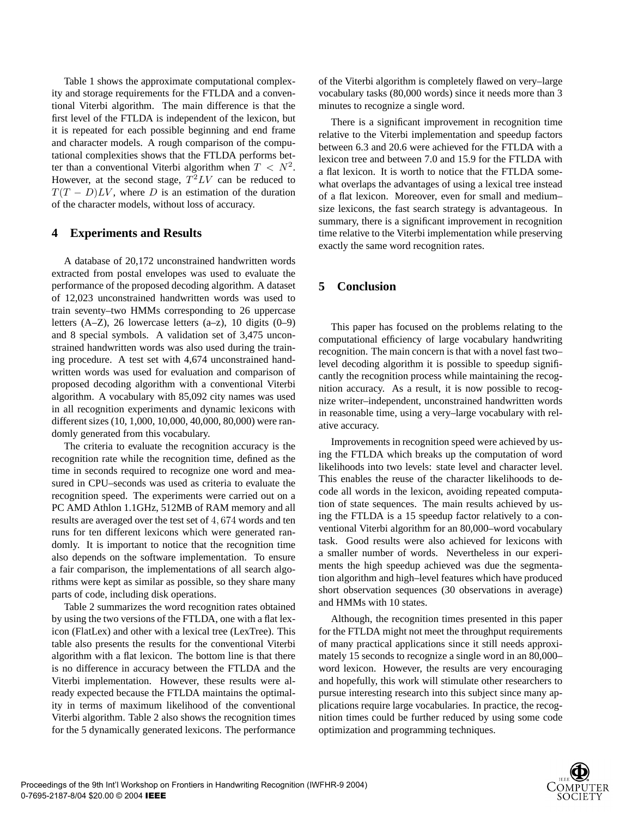Table 1 shows the approximate computational complexity and storage requirements for the FTLDA and a conventional Viterbi algorithm. The main difference is that the first level of the FTLDA is independent of the lexicon, but it is repeated for each possible beginning and end frame and character models. A rough comparison of the computational complexities shows that the FTLDA performs better than a conventional Viterbi algorithm when  $T < N^2$ . However, at the second stage,  $T^2LV$  can be reduced to  $T(T - D)LV$ , where D is an estimation of the duration of the character models, without loss of accuracy.

## **4 Experiments and Results**

A database of 20,172 unconstrained handwritten words extracted from postal envelopes was used to evaluate the performance of the proposed decoding algorithm. A dataset of 12,023 unconstrained handwritten words was used to train seventy–two HMMs corresponding to 26 uppercase letters (A–Z), 26 lowercase letters (a–z), 10 digits (0–9) and 8 special symbols. A validation set of 3,475 unconstrained handwritten words was also used during the training procedure. A test set with 4,674 unconstrained handwritten words was used for evaluation and comparison of proposed decoding algorithm with a conventional Viterbi algorithm. A vocabulary with 85,092 city names was used in all recognition experiments and dynamic lexicons with different sizes (10, 1,000, 10,000, 40,000, 80,000) were randomly generated from this vocabulary.

The criteria to evaluate the recognition accuracy is the recognition rate while the recognition time, defined as the time in seconds required to recognize one word and measured in CPU–seconds was used as criteria to evaluate the recognition speed. The experiments were carried out on a PC AMD Athlon 1.1GHz, 512MB of RAM memory and all results are averaged over the test set of 4, 674 words and ten runs for ten different lexicons which were generated randomly. It is important to notice that the recognition time also depends on the software implementation. To ensure a fair comparison, the implementations of all search algorithms were kept as similar as possible, so they share many parts of code, including disk operations.

Table 2 summarizes the word recognition rates obtained by using the two versions of the FTLDA, one with a flat lexicon (FlatLex) and other with a lexical tree (LexTree). This table also presents the results for the conventional Viterbi algorithm with a flat lexicon. The bottom line is that there is no difference in accuracy between the FTLDA and the Viterbi implementation. However, these results were already expected because the FTLDA maintains the optimality in terms of maximum likelihood of the conventional Viterbi algorithm. Table 2 also shows the recognition times for the 5 dynamically generated lexicons. The performance of the Viterbi algorithm is completely flawed on very–large vocabulary tasks (80,000 words) since it needs more than 3 minutes to recognize a single word.

There is a significant improvement in recognition time relative to the Viterbi implementation and speedup factors between 6.3 and 20.6 were achieved for the FTLDA with a lexicon tree and between 7.0 and 15.9 for the FTLDA with a flat lexicon. It is worth to notice that the FTLDA somewhat overlaps the advantages of using a lexical tree instead of a flat lexicon. Moreover, even for small and medium– size lexicons, the fast search strategy is advantageous. In summary, there is a significant improvement in recognition time relative to the Viterbi implementation while preserving exactly the same word recognition rates.

## **5 Conclusion**

This paper has focused on the problems relating to the computational efficiency of large vocabulary handwriting recognition. The main concern is that with a novel fast two– level decoding algorithm it is possible to speedup significantly the recognition process while maintaining the recognition accuracy. As a result, it is now possible to recognize writer–independent, unconstrained handwritten words in reasonable time, using a very–large vocabulary with relative accuracy.

Improvements in recognition speed were achieved by using the FTLDA which breaks up the computation of word likelihoods into two levels: state level and character level. This enables the reuse of the character likelihoods to decode all words in the lexicon, avoiding repeated computation of state sequences. The main results achieved by using the FTLDA is a 15 speedup factor relatively to a conventional Viterbi algorithm for an 80,000–word vocabulary task. Good results were also achieved for lexicons with a smaller number of words. Nevertheless in our experiments the high speedup achieved was due the segmentation algorithm and high–level features which have produced short observation sequences (30 observations in average) and HMMs with 10 states.

Although, the recognition times presented in this paper for the FTLDA might not meet the throughput requirements of many practical applications since it still needs approximately 15 seconds to recognize a single word in an 80,000– word lexicon. However, the results are very encouraging and hopefully, this work will stimulate other researchers to pursue interesting research into this subject since many applications require large vocabularies. In practice, the recognition times could be further reduced by using some code optimization and programming techniques.